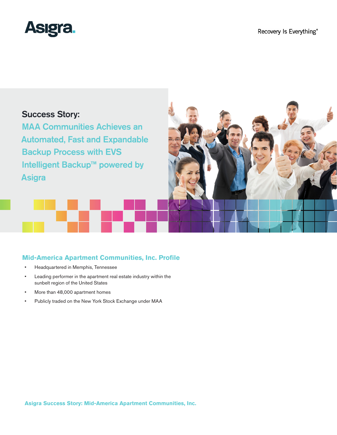

# Success Story:

MAA Communities Achieves an Automated, Fast and Expandable Backup Process with EVS Intelligent Backup™ powered by **Asigra** 



# **Mid-America Apartment Communities, Inc. Profile**

- • Headquartered in Memphis, Tennessee
- • Leading performer in the apartment real estate industry within the sunbelt region of the United States
- • More than 48,000 apartment homes
- • Publicly traded on the New York Stock Exchange under MAA

**Asigra Success Story: Mid-America Apartment Communities, Inc.**